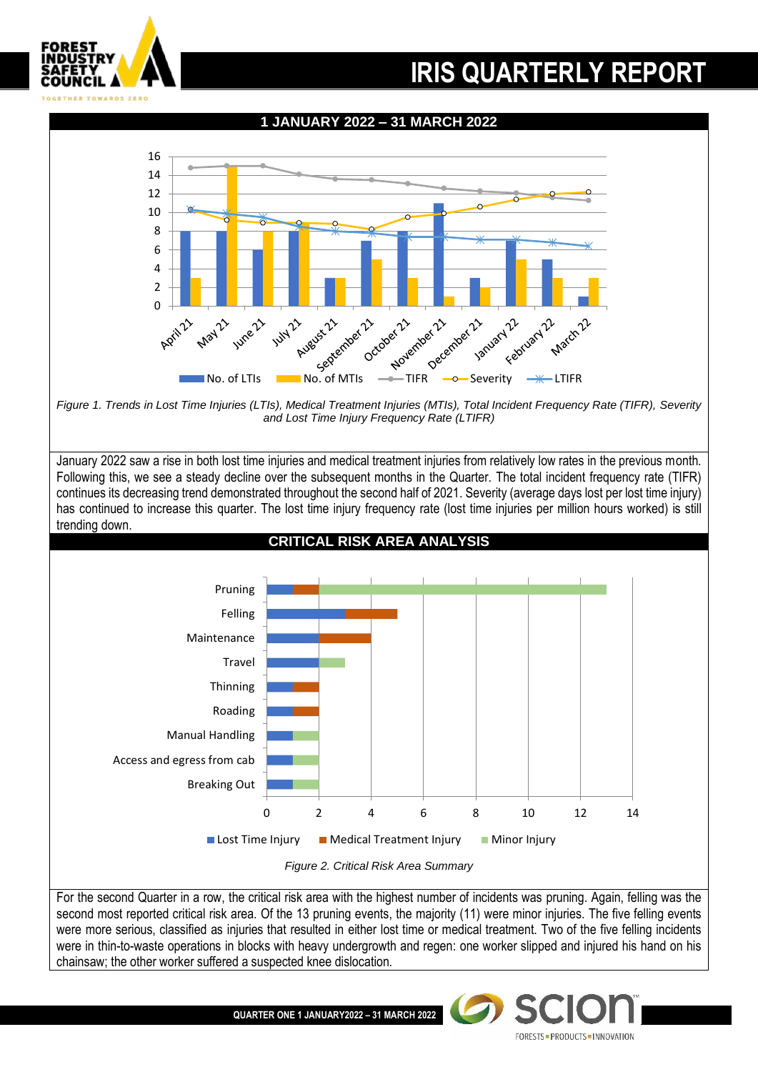

**QUARTER ONE 1 JANUARY2022 – 31 MARCH 2022**

FORESTS = PRODUCTS = INNOVATION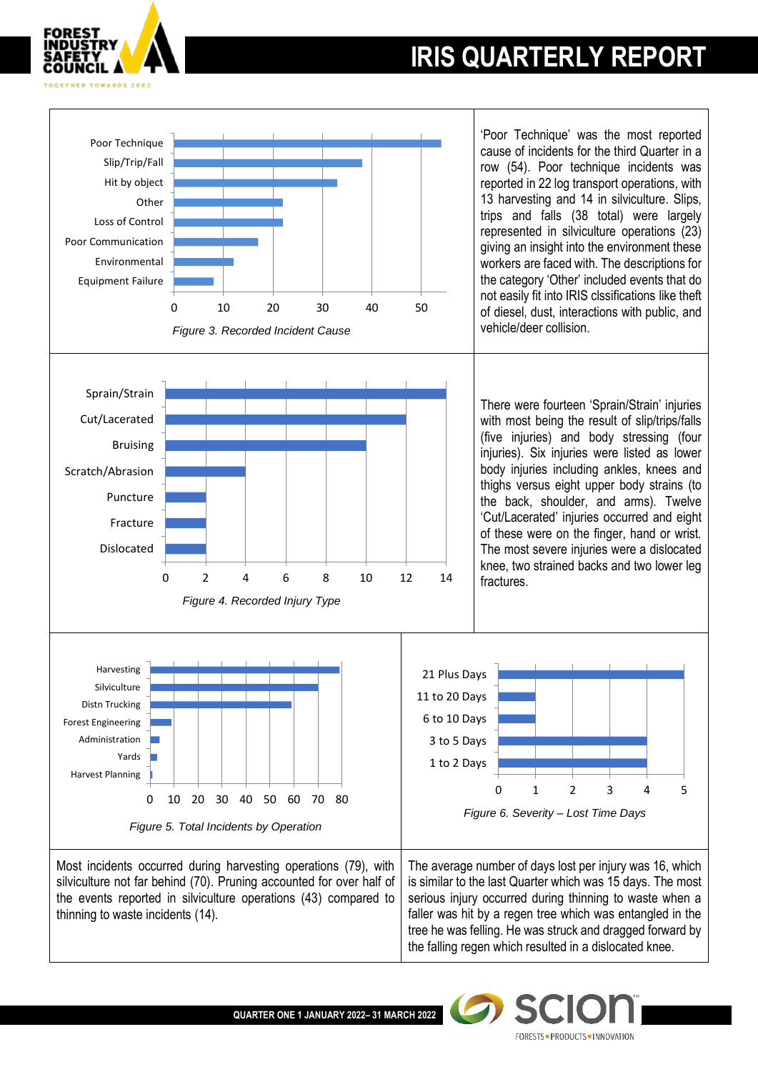

**FORESTS · PRODUCTS · INNOVATION** 





**QUARTER ONE 1 JANUARY 2022– 31 MARCH 2022**